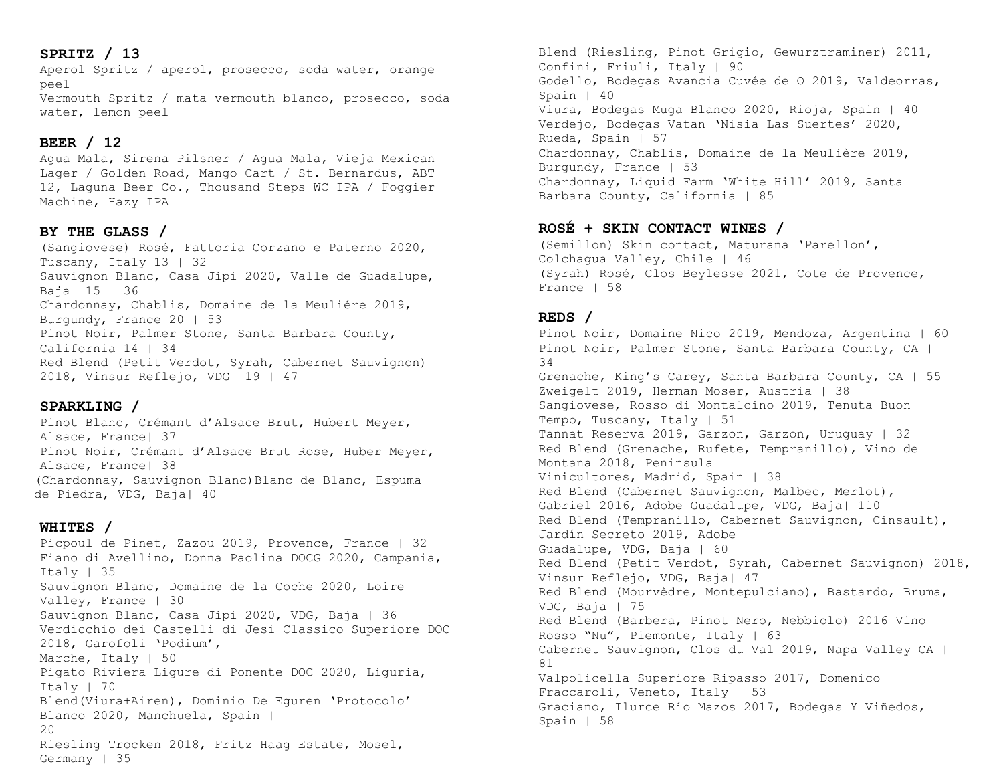# **SPRITZ / 13**

Aperol Spritz / aperol, prosecco, soda water, orange peel Vermouth Spritz / mata vermouth blanco, prosecco, soda water, lemon peel

# **BEER / 12**

Agua Mala, Sirena Pilsner / Agua Mala, Vieja Mexican Lager / Golden Road, Mango Cart / St. Bernardus, ABT 12, Laguna Beer Co., Thousand Steps WC IPA / Foggier Machine, Hazy IPA

#### **BY THE GLASS /**

(Sangiovese) Rosé, Fattoria Corzano e Paterno 2020, Tuscany, Italy 13 | 32 Sauvignon Blanc, Casa Jipi 2020, Valle de Guadalupe, Baja 15 | 36 Chardonnay, Chablis, Domaine de la Meuliére 2019, Burgundy, France 20 | 53 Pinot Noir, Palmer Stone, Santa Barbara County, California 14 | 34 Red Blend (Petit Verdot, Syrah, Cabernet Sauvignon) 2018, Vinsur Reflejo, VDG 19 | 47

### **SPARKLING /**

Pinot Blanc, Crémant d'Alsace Brut, Hubert Meyer, Alsace, France| 37 Pinot Noir, Crémant d'Alsace Brut Rose, Huber Meyer, Alsace, France| 38 (Chardonnay, Sauvignon Blanc)Blanc de Blanc, Espuma de Piedra, VDG, Baja| 40

#### **WHITES /**

Picpoul de Pinet, Zazou 2019, Provence, France | 32 Fiano di Avellino, Donna Paolina DOCG 2020, Campania, Italy | 35 Sauvignon Blanc, Domaine de la Coche 2020, Loire Valley, France | 30 Sauvignon Blanc, Casa Jipi 2020, VDG, Baja | 36 Verdicchio dei Castelli di Jesi Classico Superiore DOC 2018, Garofoli 'Podium', Marche, Italy | 50 Pigato Riviera Ligure di Ponente DOC 2020, Liguria, Italy | 70 Blend(Viura+Airen), Dominio De Eguren 'Protocolo' Blanco 2020, Manchuela, Spain | 20 Riesling Trocken 2018, Fritz Haag Estate, Mosel, Germany | 35

Blend (Riesling, Pinot Grigio, Gewurztraminer) 2011, Confini, Friuli, Italy | 90 Godello, Bodegas Avancia Cuvée de O 2019, Valdeorras, Spain | 40 Viura, Bodegas Muga Blanco 2020, Rioja, Spain | 40 Verdejo, Bodegas Vatan 'Nisia Las Suertes' 2020, Rueda, Spain | 57 Chardonnay, Chablis, Domaine de la Meulière 2019, Burgundy, France | 53 Chardonnay, Liquid Farm 'White Hill' 2019, Santa Barbara County, California | 85

## **ROSÉ + SKIN CONTACT WINES /**

(Semillon) Skin contact, Maturana 'Parellon', Colchagua Valley, Chile | 46 (Syrah) Rosé, Clos Beylesse 2021, Cote de Provence, France | 58

#### **REDS /**

Pinot Noir, Domaine Nico 2019, Mendoza, Argentina | 60 Pinot Noir, Palmer Stone, Santa Barbara County, CA | 34 Grenache, King's Carey, Santa Barbara County, CA | 55 Zweigelt 2019, Herman Moser, Austria | 38 Sangiovese, Rosso di Montalcino 2019, Tenuta Buon Tempo, Tuscany, Italy | 51 Tannat Reserva 2019, Garzon, Garzon, Uruguay | 32 Red Blend (Grenache, Rufete, Tempranillo), Vino de Montana 2018, Peninsula Vinicultores, Madrid, Spain | 38 Red Blend (Cabernet Sauvignon, Malbec, Merlot), Gabriel 2016, Adobe Guadalupe, VDG, Baja| 110 Red Blend (Tempranillo, Cabernet Sauvignon, Cinsault), Jardín Secreto 2019, Adobe Guadalupe, VDG, Baja | 60 Red Blend (Petit Verdot, Syrah, Cabernet Sauvignon) 2018, Vinsur Reflejo, VDG, Baja| 47 Red Blend (Mourvèdre, Montepulciano), Bastardo, Bruma, VDG, Baja | 75 Red Blend (Barbera, Pinot Nero, Nebbiolo) 2016 Vino Rosso "Nu", Piemonte, Italy | 63 Cabernet Sauvignon, Clos du Val 2019, Napa Valley CA | 81 Valpolicella Superiore Ripasso 2017, Domenico Fraccaroli, Veneto, Italy | 53 Graciano, Ilurce Río Mazos 2017, Bodegas Y Viñedos, Spain | 58